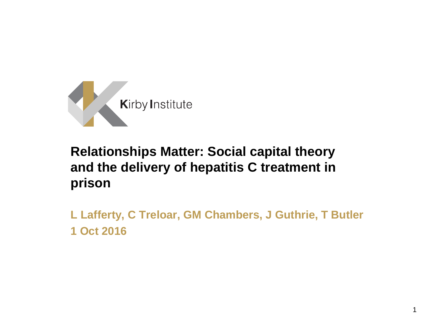

#### **Relationships Matter: Social capital theory and the delivery of hepatitis C treatment in prison**

**L Lafferty, C Treloar, GM Chambers, J Guthrie, T Butler 1 Oct 2016**

1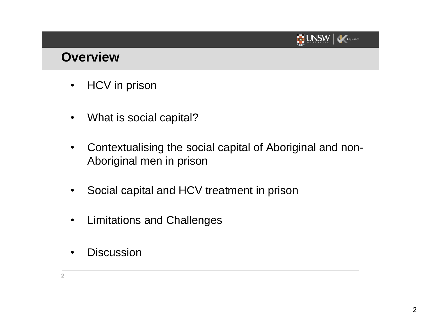

#### **Overview**

- HCV in prison
- What is social capital?
- Contextualising the social capital of Aboriginal and non-Aboriginal men in prison
- Social capital and HCV treatment in prison
- Limitations and Challenges
- Discussion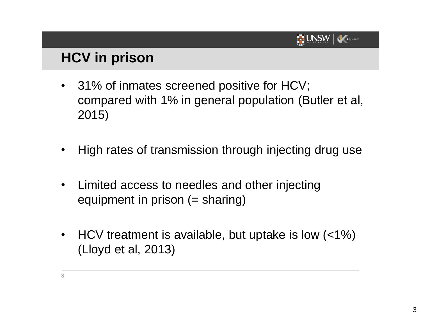

### **HCV in prison**

- 31% of inmates screened positive for HCV; compared with 1% in general population (Butler et al, 2015)
- High rates of transmission through injecting drug use
- Limited access to needles and other injecting equipment in prison (= sharing)
- HCV treatment is available, but uptake is low (<1%) (Lloyd et al, 2013)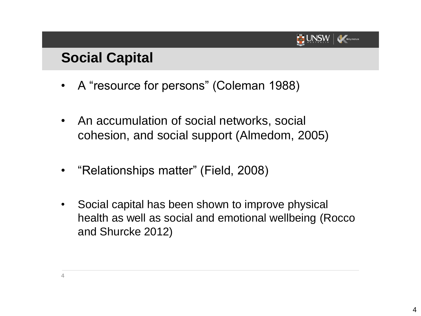

#### **Social Capital**

- A "resource for persons" (Coleman 1988)
- An accumulation of social networks, social cohesion, and social support (Almedom, 2005)
- "Relationships matter" (Field, 2008)
- Social capital has been shown to improve physical health as well as social and emotional wellbeing (Rocco and Shurcke 2012)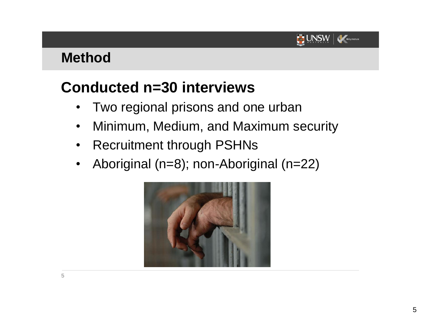#### **UNSW** Kirby Institute

#### **Method**

## **Conducted n=30 interviews**

- Two regional prisons and one urban
- Minimum, Medium, and Maximum security
- Recruitment through PSHNs
- Aboriginal (n=8); non-Aboriginal (n=22)

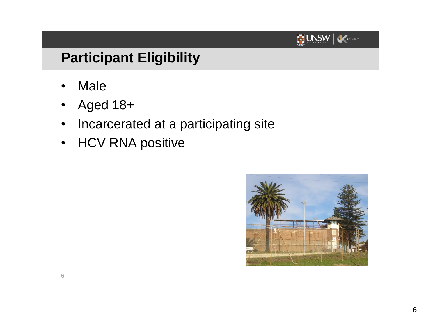

### **Participant Eligibility**

- **Male**
- Aged 18+
- Incarcerated at a participating site
- HCV RNA positive

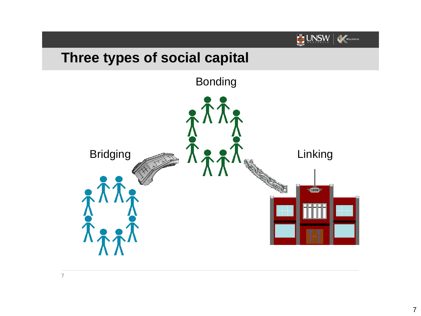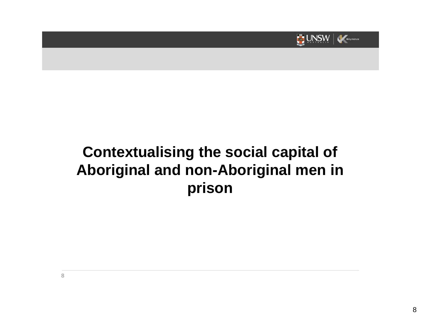

## **Contextualising the social capital of Aboriginal and non-Aboriginal men in prison**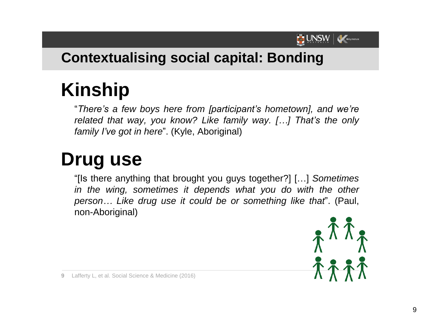

### **Contextualising social capital: Bonding**

# **Kinship**

"*There's a few boys here from [participant's hometown], and we're related that way, you know? Like family way. […] That's the only family I've got in here*". (Kyle, Aboriginal)

# **Drug use**

"[Is there anything that brought you guys together?] […] *Sometimes in the wing, sometimes it depends what you do with the other person… Like drug use it could be or something like that*". (Paul, non-Aboriginal)



**9** Lafferty L, et al. Social Science & Medicine (2016)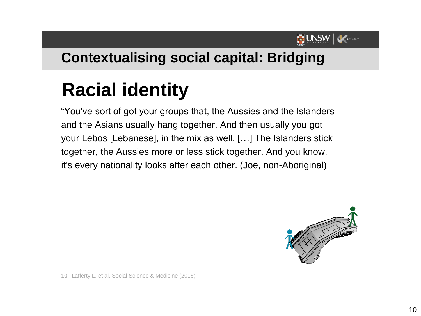

#### **Contextualising social capital: Bridging**

# **Racial identity**

"You've sort of got your groups that, the Aussies and the Islanders and the Asians usually hang together. And then usually you got your Lebos [Lebanese], in the mix as well. […] The Islanders stick together, the Aussies more or less stick together. And you know, it's every nationality looks after each other. (Joe, non-Aboriginal)



**10** Lafferty L, et al. Social Science & Medicine (2016)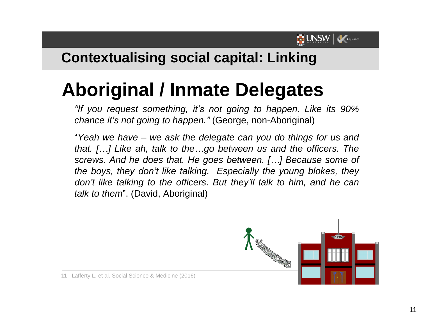

### **Contextualising social capital: Linking**

# **Aboriginal / Inmate Delegates**

*"If you request something, it's not going to happen. Like its 90% chance it's not going to happen."* (George, non-Aboriginal)

"*Yeah we have – we ask the delegate can you do things for us and that. […] Like ah, talk to the…go between us and the officers. The screws. And he does that. He goes between. […] Because some of the boys, they don't like talking. Especially the young blokes, they don't like talking to the officers. But they'll talk to him, and he can talk to them*". (David, Aboriginal)



**11** Lafferty L, et al. Social Science & Medicine (2016)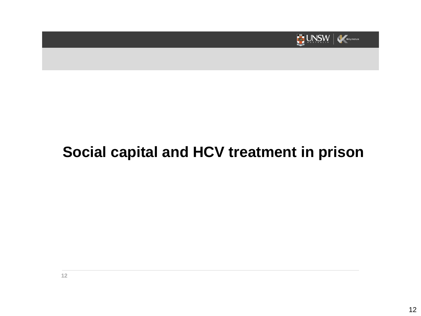

## **Social capital and HCV treatment in prison**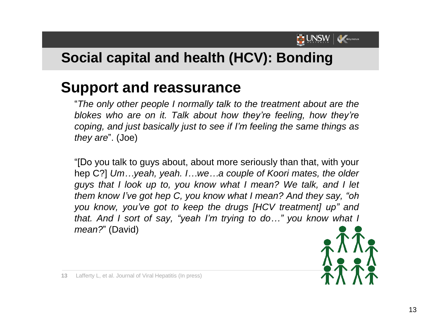

### **Social capital and health (HCV): Bonding**

### **Support and reassurance**

"*The only other people I normally talk to the treatment about are the blokes who are on it. Talk about how they're feeling, how they're coping, and just basically just to see if I'm feeling the same things as they are*". (Joe)

"[Do you talk to guys about, about more seriously than that, with your hep C?] *Um…yeah, yeah. I…we…a couple of Koori mates, the older guys that I look up to, you know what I mean? We talk, and I let them know I've got hep C, you know what I mean? And they say, "oh you know, you've got to keep the drugs [HCV treatment] up" and that. And I sort of say, "yeah I'm trying to do…" you know what I mean?*" (David)

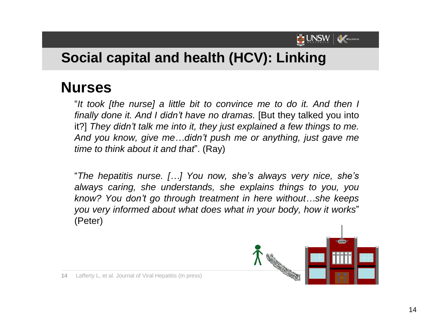

### **Social capital and health (HCV): Linking**

### **Nurses**

"*It took [the nurse] a little bit to convince me to do it. And then I finally done it. And I didn't have no dramas.* [But they talked you into it?] *They didn't talk me into it, they just explained a few things to me. And you know, give me…didn't push me or anything, just gave me time to think about it and that*". (Ray)

"*The hepatitis nurse. […] You now, she's always very nice, she's always caring, she understands, she explains things to you, you know? You don't go through treatment in here without…she keeps you very informed about what does what in your body, how it works*" (Peter)



**14** Lafferty L, et al. Journal of Viral Hepatitis (In press)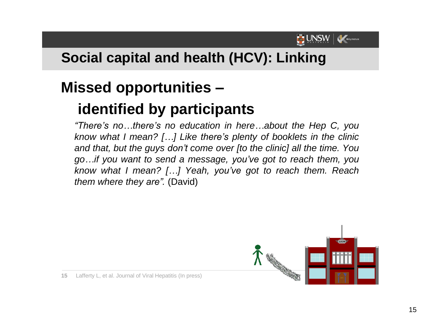

## **Social capital and health (HCV): Linking**

# **Missed opportunities –**

## **identified by participants**

*"There's no…there's no education in here…about the Hep C, you know what I mean? […] Like there's plenty of booklets in the clinic and that, but the guys don't come over [to the clinic] all the time. You go…if you want to send a message, you've got to reach them, you know what I mean? […] Yeah, you've got to reach them. Reach them where they are".* (David)



**15** Lafferty L, et al. Journal of Viral Hepatitis (In press)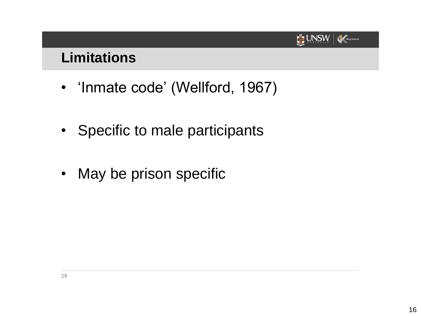#### **UNSW** Kirby Institute

#### **Limitations**

- 'Inmate code' (Wellford, 1967)
- Specific to male participants
- May be prison specific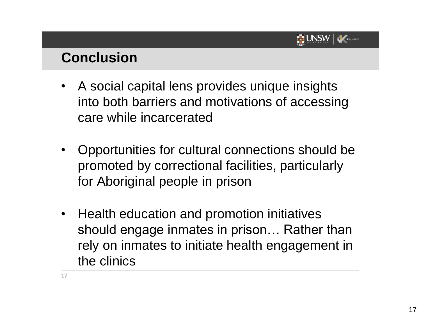

#### **Conclusion**

- A social capital lens provides unique insights into both barriers and motivations of accessing care while incarcerated
- Opportunities for cultural connections should be promoted by correctional facilities, particularly for Aboriginal people in prison
- Health education and promotion initiatives should engage inmates in prison… Rather than rely on inmates to initiate health engagement in the clinics